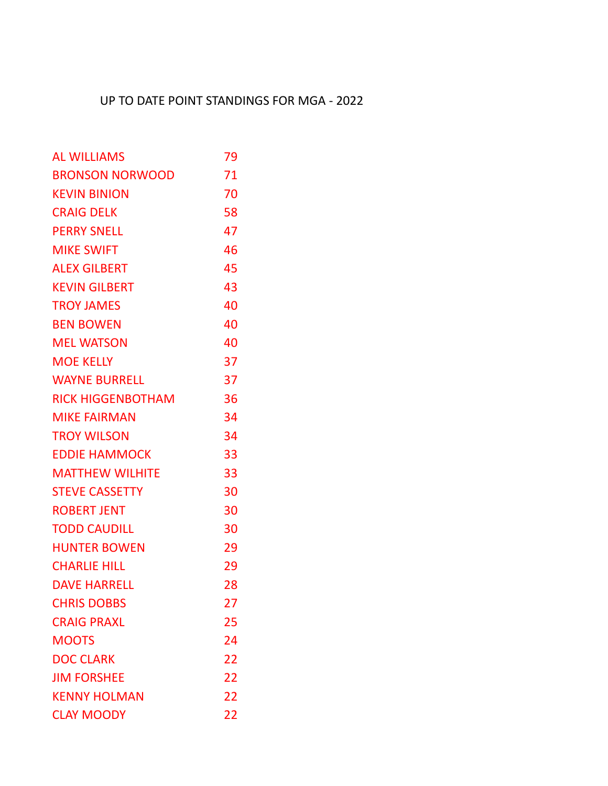## UP TO DATE POINT STANDINGS FOR MGA - 2022

| <b>AL WILLIAMS</b>       | 79 |
|--------------------------|----|
| <b>BRONSON NORWOOD</b>   | 71 |
| <b>KEVIN BINION</b>      | 70 |
| <b>CRAIG DELK</b>        | 58 |
| <b>PERRY SNELL</b>       | 47 |
| <b>MIKE SWIFT</b>        | 46 |
| <b>ALEX GILBERT</b>      | 45 |
| <b>KEVIN GILBERT</b>     | 43 |
| <b>TROY JAMES</b>        | 40 |
| <b>BEN BOWEN</b>         | 40 |
| <b>MEL WATSON</b>        | 40 |
| <b>MOE KELLY</b>         | 37 |
| <b>WAYNE BURRELL</b>     | 37 |
| <b>RICK HIGGENBOTHAM</b> | 36 |
| <b>MIKE FAIRMAN</b>      | 34 |
| <b>TROY WILSON</b>       | 34 |
| <b>EDDIE HAMMOCK</b>     | 33 |
| <b>MATTHEW WILHITE</b>   | 33 |
| <b>STEVE CASSETTY</b>    | 30 |
| <b>ROBERT JENT</b>       | 30 |
| <b>TODD CAUDILL</b>      | 30 |
| <b>HUNTER BOWEN</b>      | 29 |
| <b>CHARLIE HILL</b>      | 29 |
| <b>DAVE HARRELL</b>      | 28 |
| <b>CHRIS DOBBS</b>       | 27 |
| <b>CRAIG PRAXL</b>       | 25 |
| <b>MOOTS</b>             | 24 |
| <b>DOC CLARK</b>         | 22 |
| <b>JIM FORSHEE</b>       | 22 |
| <b>KENNY HOLMAN</b>      | 22 |
| <b>CLAY MOODY</b>        | 22 |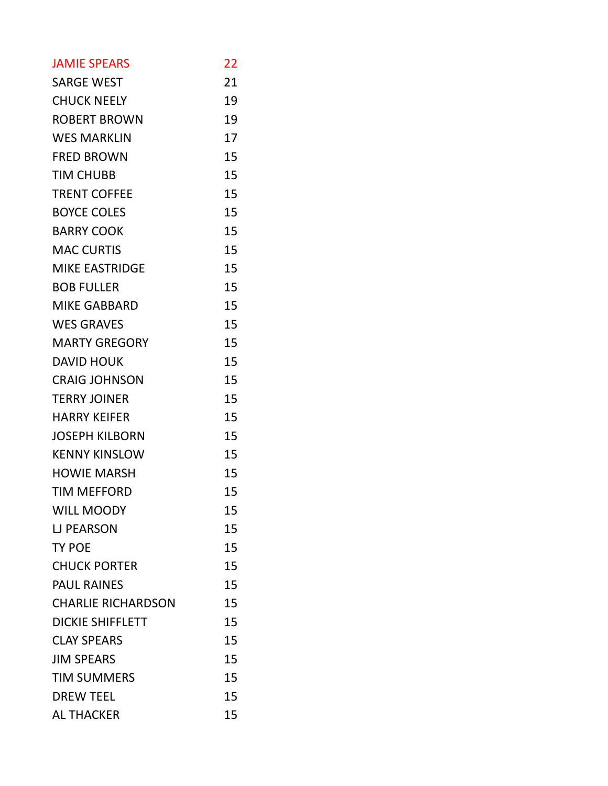| <b>JAMIE SPEARS</b>       | 22 |
|---------------------------|----|
| <b>SARGE WEST</b>         | 21 |
| <b>CHUCK NEELY</b>        | 19 |
| <b>ROBERT BROWN</b>       | 19 |
| <b>WES MARKLIN</b>        | 17 |
| <b>FRED BROWN</b>         | 15 |
| <b>TIM CHUBB</b>          | 15 |
| <b>TRENT COFFEE</b>       | 15 |
| <b>BOYCE COLES</b>        | 15 |
| <b>BARRY COOK</b>         | 15 |
| <b>MAC CURTIS</b>         | 15 |
| <b>MIKE EASTRIDGE</b>     | 15 |
| <b>BOB FULLER</b>         | 15 |
| <b>MIKE GABBARD</b>       | 15 |
| <b>WES GRAVES</b>         | 15 |
| <b>MARTY GREGORY</b>      | 15 |
| <b>DAVID HOUK</b>         | 15 |
| <b>CRAIG JOHNSON</b>      | 15 |
| <b>TERRY JOINER</b>       | 15 |
| <b>HARRY KEIFER</b>       | 15 |
| <b>JOSEPH KILBORN</b>     | 15 |
| <b>KENNY KINSLOW</b>      | 15 |
| <b>HOWIE MARSH</b>        | 15 |
| <b>TIM MEFFORD</b>        | 15 |
| <b>WILL MOODY</b>         | 15 |
| <b>LJ PEARSON</b>         | 15 |
| <b>TY POE</b>             | 15 |
| <b>CHUCK PORTER</b>       | 15 |
| <b>PAUL RAINES</b>        | 15 |
| <b>CHARLIE RICHARDSON</b> | 15 |
| <b>DICKIE SHIFFLETT</b>   | 15 |
| <b>CLAY SPEARS</b>        | 15 |
| <b>JIM SPEARS</b>         | 15 |
| <b>TIM SUMMERS</b>        | 15 |
| <b>DREW TEEL</b>          | 15 |
| <b>AL THACKER</b>         | 15 |